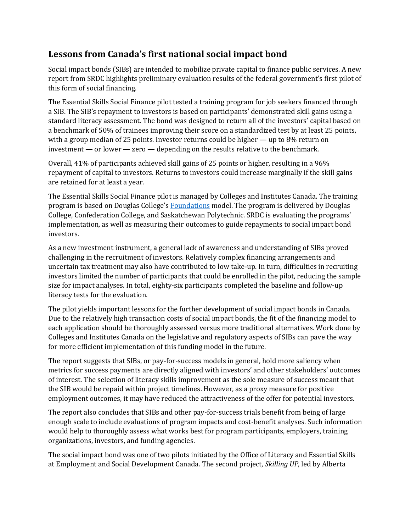## **Lessons from Canada's first national social impact bond**

Social impact bonds (SIBs) are intended to mobilize private capital to finance public services. A new report from SRDC highlights preliminary evaluation results of the federal government's first pilot of this form of social financing.

The Essential Skills Social Finance pilot tested a training program for job seekers financed through a SIB. The SIB's repayment to investors is based on participants' demonstrated skill gains using a standard literacy assessment. The bond was designed to return all of the investors' capital based on a benchmark of 50% of trainees improving their score on a standardized test by at least 25 points, with a group median of 25 points. Investor returns could be higher — up to 8% return on investment — or lower — zero — depending on the results relative to the benchmark.

Overall, 41% of participants achieved skill gains of 25 points or higher, resulting in a 96% repayment of capital to investors. Returns to investors could increase marginally if the skill gains are retained for at least a year.

The Essential Skills Social Finance pilot is managed by Colleges and Institutes Canada. The training program is based on Douglas College's [Foundations](http://www.srdc.org/publications/Foundations-12-month-impacts-of-a-literacy-and-essential-skills-intervention-for-job-seekers-details.aspx) model. The program is delivered by Douglas College, Confederation College, and Saskatchewan Polytechnic. SRDC is evaluating the programs' implementation, as well as measuring their outcomes to guide repayments to social impact bond investors.

As a new investment instrument, a general lack of awareness and understanding of SIBs proved challenging in the recruitment of investors. Relatively complex financing arrangements and uncertain tax treatment may also have contributed to low take-up. In turn, difficulties in recruiting investors limited the number of participants that could be enrolled in the pilot, reducing the sample size for impact analyses. In total, eighty-six participants completed the baseline and follow-up literacy tests for the evaluation.

The pilot yields important lessons for the further development of social impact bonds in Canada. Due to the relatively high transaction costs of social impact bonds, the fit of the financing model to each application should be thoroughly assessed versus more traditional alternatives. Work done by Colleges and Institutes Canada on the legislative and regulatory aspects of SIBs can pave the way for more efficient implementation of this funding model in the future.

The report suggests that SIBs, or pay-for-success models in general, hold more saliency when metrics for success payments are directly aligned with investors' and other stakeholders' outcomes of interest. The selection of literacy skills improvement as the sole measure of success meant that the SIB would be repaid within project timelines. However, as a proxy measure for positive employment outcomes, it may have reduced the attractiveness of the offer for potential investors.

The report also concludes that SIBs and other pay-for-success trials benefit from being of large enough scale to include evaluations of program impacts and cost-benefit analyses. Such information would help to thoroughly assess what works best for program participants, employers, training organizations, investors, and funding agencies.

The social impact bond was one of two pilots initiated by the Office of Literacy and Essential Skills at Employment and Social Development Canada. The second project, *Skilling UP*, led by Alberta